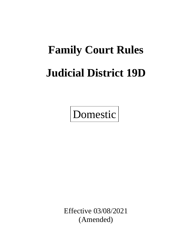# **Family Court Rules Judicial District 19D**

Domestic

Effective 03/08/2021 (Amended)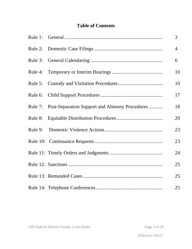## **Table of Contents**

|                                                        | $\overline{3}$ |
|--------------------------------------------------------|----------------|
|                                                        | $\overline{4}$ |
|                                                        | 6              |
|                                                        | 10             |
|                                                        | 10             |
|                                                        | 17             |
| Rule 7: Post-Separation Support and Alimony Procedures | 18             |
|                                                        | 20             |
|                                                        | 23             |
|                                                        | 23             |
|                                                        | 24             |
|                                                        | 25             |
|                                                        | 25             |
|                                                        | 25             |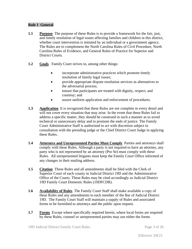### **Rule 1 General**

- **1.1 Purpose** The purpose of these Rules is to provide a framework for the fair, just, and timely resolution of legal issues affecting families and children in this district, whether court intervention is initiated by an individual or a government agency. The Rules are to complement the North Carolina Rules of Civil Procedure, North Carolina Rules of Evidence, and General Rules of Practice for Superior and District Courts.
- **1.2 Goals** Family Court strives to, among other things:
	- incorporate administrative practices which promote timely resolution of family legal issues;
	- provide appropriate dispute resolution services as alternatives to the adversarial process;
	- ensure that participants are treated with dignity, respect, and courtesy; and
	- assure uniform application and enforcement of procedures.
- **1.3 Application** It is recognized that these Rules are not complete in every detail and will not cover every situation that may arise. In the event that these Rules fail to address a specific matter, they should be construed in such a manner as to avoid technical or unnecessary delay and to promote the ends of justice. The Family Court Administrative Staff is authorized to act with discretion subject to consultation with the presiding judge or the Chief District Court Judge in applying these Rules.
- **1.4 Attorneys and Unrepresented Parties Must Comply** Parties and attorneys shall comply with these Rules. Although a party is not required to have an attorney, any party who is not represented by an attorney (Pro Se) must comply with these Rules. All unrepresented litigants must keep the Family Court Office informed of any changes in their mailing address.
- **1.5 Citation** These Rules and all amendments shall be filed with the Clerk of Superior Court of each county in Judicial District 19D and the Administrative Office of the Courts. These Rules may be cited accordingly as Judicial District 19D Family Court Domestic Rules (19DFCDR).
- **1.6 Availability of Rules** The Family Court Staff shall make available a copy of these Rules and any amendments to each member of the Bar of Judicial District 19D. The Family Court Staff will maintain a supply of Rules and associated forms to be furnished to attorneys and the public upon request.
- **1.7 Forms** Except where specifically required herein, where local forms are required by these Rules, counsel or unrepresented parties may use either the forms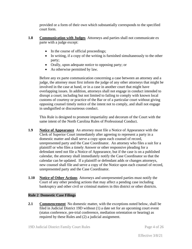provided or a form of their own which substantially corresponds to the specified court form.

- **1.8 Communication with Judges** Attorneys and parties shall not communicate ex parte with a judge except:
	- In the course of official proceedings;
	- In writing, if a copy of the writing is furnished simultaneously to the other party;
	- Orally, upon adequate notice to opposing party; or
	- As otherwise permitted by law.

Before any ex parte communication concerning a case between an attorney and a judge, the attorney must first inform the judge of any other attorneys that might be involved in the case at hand, or in a case in another court that might have overlapping issues. In addition, attorneys shall not engage in conduct intended to disrupt a court; including but not limited to failing to comply with known local customs of courtesy or practice of the Bar or of a particular court without giving opposing counsel timely notice of the intent not to comply, and shall not engage in undignified or discourteous conduct.

This Rule is designed to promote impartiality and decorum of the Court with the same intent of the North Carolina Rules of Professional Conduct.

- **1.9 Notice of Appearance** An attorney must file a Notice of Appearance with the Clerk of Superior Court immediately after agreeing to represent a party in a domestic matter and shall serve a copy upon each counsel of record, unrepresented party and the Case Coordinator. An attorney who files a suit for a plaintiff or who files a timely Answer or other responsive pleading for a defendant need not file a Notice of Appearance, but if the case is on a published calendar, the attorney shall immediately notify the Case Coordinator so that the calendar can be updated. If a plaintiff or defendant adds or changes attorneys, new counsel shall file and serve a copy of the Notice upon each counsel of record, unrepresented party and the Case Coordinator.
- **1.10 Notice of Other Actions** Attorneys and unrepresented parties must notify the Court of any other pending actions that may affect a pending case including bankruptcy and other civil or criminal matters in this district or other districts.

## **Rule 2 Domestic Case Filings**

**2.1 Commencement** No domestic matter, with the exceptions noted below, shall be filed in Judicial District 19D without (1) a date set for an upcoming court event (status conference, pre-trial conference, mediation orientation or hearing) as required by these Rules and (2) a judicial assignment.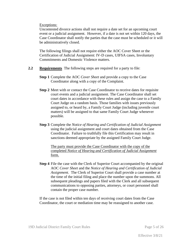Exceptions:

Uncontested divorce actions shall not require a date set for an upcoming court event or a judicial assignment. However, if a date is not set within 120 days, the Case Coordinator shall notify the parties that the case must be scheduled or it will be administratively closed.

The following filings shall not require either the AOC Cover Sheet or the Certification of Judicial Assignment: IV-D cases, UIFSA cases, Involuntary Commitments and Domestic Violence matters.

- **2.2 Requirements** The following steps are required for a party to file:
	- **Step 1** Complete the AOC *Cover Sheet* and provide a copy to the Case Coordinator along with a copy of the Complaint.
	- **Step 2** Meet with or contact the Case Coordinator to receive dates for requisite court events and a judicial assignment. The Case Coordinator shall set court dates in accordance with these rules and assign the case to a Family Court Judge on a random basis. Those families with issues previously assigned to, or heard by, a Family Court Judge (including juvenile court matters) will be assigned to that same Family Court Judge whenever possible.
	- **Step 3** Complete the *Notice of Hearing and Certification of Judicial Assignment* using the judicial assignment and court dates obtained from the Case Coordinator. Failure to truthfully file this Certification may result in sanctions deemed appropriate by the assigned Family Court Judge.

The party must provide the Case Coordinator with the copy of the completed *Notice of Hearing and Certification of Judicial Assignment* form.

**Step 4** File the case with the Clerk of Superior Court accompanied by the original AOC *Cover Sheet* and the *Notice of Hearing and Certification of Judicial Assignment*. The Clerk of Superior Court shall provide a case number at the time of the initial filing and place the number upon the summons. All subsequent pleadings and papers filed with the Clerk and all subsequent communications to opposing parties, attorneys, or court personnel shall contain the proper case number.

If the case is not filed within ten days of receiving court dates from the Case Coordinator, the court or mediation time may be reassigned to another case.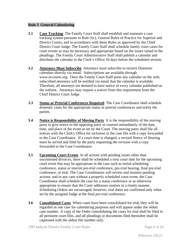#### **Rule 3 General Calendaring**

- **3.1 Case Tracking** The Family Court Staff shall establish and maintain a case tracking system pursuant to Rule 2(c), General Rules of Practice for Superior and District Courts, and in accordance with these Rules as approved by the Chief District Court Judge. The Family Court Staff shall schedule family court cases for court events as may be necessary and appropriate based on the issues raised in the pleadings. The Family Court Administrative Staff shall publish a calendar and distribute the calendar to the Clerk's Office 10 days before the scheduled session.
- **3.2 Attorneys Must Subscribe** Attorneys must subscribe to receive Domestic calendars directly via email. Subscriptions are available through www.nccourts.org. Once the Family Court Staff posts any calendar on the web, subscribed attorneys will be notified via email that the calendar is available. Therefore, all attorneys are deemed to have notice of every calendar published on the website. Attorneys may request a waiver from this requirement from the Chief District Court Judge.
- **3.3 Status or Pretrial Conferences Required** The Case Coordinator shall schedule domestic cases for the appropriate status or pretrial conferences and notify the parties.
- **3.4 Notice is Responsibility of Moving Party** It is the responsibility of the moving party to give notice to the opposing party or counsel immediately of the date, time, and place of the event as set by the Court. The moving party shall file all notices with the Clerk's Office for inclusion in the case file with a copy forwarded to the Case Coordinator. If a court time is changed, a revised Notice of Hearing must be served and filed by the party requesting the revision with a copy forwarded to the Case Coordinator.
- **3.5 Upcoming Court Events** In all actions with pending issues other than uncontested divorces, there shall be scheduled a next court date for the upcoming court event that may be appropriate in the case such as initial scheduling conference, status or interim pre-trial conference, pre-trial hearing, final pre-trial conference, or trial. The Case Coordinators will review and monitor pending actions; and in any case without a properly scheduled court event, the Case Coordinator shall schedule the case for a status conference or as otherwise appropriate to ensure that the Court addresses matters in a timely manner. Scheduling Orders are encouraged; however, trial dates are confirmed only when set by the assigned Judge at the final pre-trial conference.
- **3.6 Consolidated Cases** When cases have been consolidated for trial, they will be regarded as one case for calendaring purposes and will appear under the oldest case number. A copy of the Order consolidating the cases for trial shall be filed in all pertinent court files, and all pleadings or documents filed thereafter shall be captioned with the oldest file number only.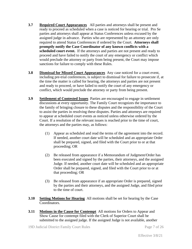- **3.7 Required Court Appearances** All parties and attorneys shall be present and ready to proceed as scheduled when a case is noticed for hearing or trial. Pro Se parties and attorneys shall appear at Status Conferences unless excused by the assigned judge in advance. Parties who are represented by an attorney are only required to attend Status Conferences if ordered by the Court. **Attorneys shall promptly notify the Case Coordinator of any known conflicts with a scheduled court event.** If the attorneys and parties are not present and ready to proceed and have failed to notify the court of any emergency or conflict which would preclude the attorney or party from being present, the Court may impose sanctions for failure to comply with these Rules.
- **3.8 Dismissal for Missed Court Appearances** Any case noticed for a court event, including pre-trial conferences, is subject to dismissal for failure to prosecute if, at the time the matter is called for hearing, the attorneys and parties are not present and ready to proceed, or have failed to notify the court of any emergency or conflict, which would preclude the attorney or party from being present.
- **3.9 Settlement of Contested Issues** Parties are encouraged to engage in settlement discussions at every opportunity. The Family Court recognizes the importance to the family of bringing closure to these disputes and the responsibility of the Court to assist the parties in resolving these disputes. Parties and attorneys are required to appear at scheduled court events as noticed unless otherwise ordered by the Court. If a resolution of the relevant issues is reached prior to the time of court, the attorneys and the parties may, as follows:
	- (1) Appear as scheduled and read the terms of the agreement into the record. If needed, another court date will be scheduled and an appropriate Order shall be prepared, signed, and filed with the Court prior to or at that proceeding; OR
	- (2) Be released from appearance if a Memorandum of Judgment/Order has been executed and signed by the parties, their attorneys, and the assigned Judge. If needed, another court date will be scheduled and an appropriate Order shall be prepared, signed, and filed with the Court prior to or at that proceeding; OR
	- (3) Be released from appearance if an appropriate Order is prepared, signed by the parties and their attorneys, and the assigned Judge, and filed prior to the time of court.
- **3.10 Setting Motions for Hearing** All motions shall be set for hearing by the Case Coordinators.
- **3.11 Motions in the Cause for Contempt** All motions for Orders to Appear and Show Cause for contempt filed with the Clerk of Superior Court shall be submitted to the assigned judge. If the assigned Judge is not available, another

Effective 3/8/21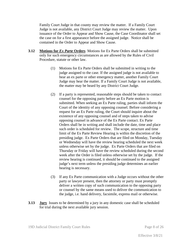Family Court Judge in that county may review the matter. If a Family Court Judge is not available, any District Court Judge may review the matter. Upon issuance of the Order to Appear and Show Cause, the Case Coordinator shall set the case on for a first appearance before the assigned judge. Notice shall be contained in the Order to Appear and Show Cause.

- **3.12 Motions for** *Ex Parte* **Orders** Motions for Ex Parte Orders shall be submitted only for such emergency circumstances as are allowed by the Rules of Civil Procedure, statute or other law.
	- (1) Motions for Ex Parte Orders shall be submitted in writing to the judge assigned to the case. If the assigned judge is not available to hear an ex parte or other emergency matter, another Family Court Judge may hear the matter. If a Family Court Judge is not available, the matter may be heard by any District Court Judge.
	- (2) If a party is represented, reasonable steps should be taken to contact counsel for the opposing party before an Ex Parte motion is submitted. When seeking an Ex Parte ruling, parties shall inform the Court of the identity of any opposing counsel. Before considering a request for an Ex Parte ruling, the Court should inquire about the existence of any opposing counsel and of steps taken to advise opposing counsel in advance of the Ex Parte contact. Ex Parte Orders shall be in writing and shall include the date, time and place such order is scheduled for review. The scope, structure and time limit of the Ex Parte Review Hearing is within the discretion of the presiding judge. Ex Parte Orders that are filed on Monday, Tuesday or Wednesday will have the review hearing scheduled the next week unless otherwise set by the judge. Ex Parte Orders that are filed on Thursday or Friday will have the review scheduled during the second week after the Order is filed unless otherwise set by the judge. If the review hearing is continued, it should be continued to the assigned judge's next term unless the presiding judge determines an earlier hearing is necessary.
	- (3) If any Ex Parte communication with a Judge occurs without the other party or lawyer present, then the attorney or party must promptly deliver a written copy of such communication to the opposing party or counsel by the same means used to deliver the communication to the judge, i.e. hand delivery, facsimile, express mail or otherwise.
- **3.13 Jury** Issues to be determined by a jury in any domestic case shall be scheduled for trial during the next available jury session.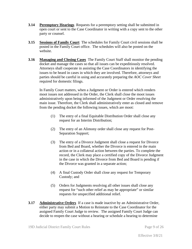- **3.14 Peremptory Hearings** Requests for a peremptory setting shall be submitted in open court or sent to the Case Coordinator in writing with a copy sent to the other party or counsel.
- **3.15 Sessions of Family Court** The schedules for Family Court civil sessions shall be posted in the Family Court office. The schedules will also be posted on the website.
- **3.16 Managing and Closing Cases** The Family Court Staff shall monitor the pending docket and manage the cases so that all issues can be expeditiously resolved. Attorneys shall cooperate in assisting the Case Coordinators in identifying the issues to be heard in cases in which they are involved. Therefore, attorneys and parties should be careful in using and accurately preparing the *AOC Cover Sheet* required for domestic filings.

In Family Court matters, when a Judgment or Order is entered which renders moot issues not addressed in the Order, the Clerk shall close the moot issues administratively upon being informed of the Judgment or Order resolving the main issue. Therefore, the Clerk shall administratively enter as closed and remove from the pending docket the following issues, which are moot:

- (1) The entry of a final Equitable Distribution Order shall close any request for an Interim Distribution;
- (2) The entry of an Alimony order shall close any request for Post-Separation Support;
- (3) The entry of a Divorce Judgment shall close a request for Divorce from Bed and Board, whether the Divorce is entered in the main action or in a collateral action between the parties. To complete the record, the Clerk may place a certified copy of the Divorce Judgment in the case in which the Divorce from Bed and Board is pending if the Divorce was granted in a separate action;
- (4) A final Custody Order shall close any request for Temporary Custody; and
- (5) Orders for Judgments resolving all other issues shall close any request for "such other relief as may be appropriate" or similar requests for unspecified additional relief.
- **3.17 Administrative Orders** If a case is made inactive by an Administrative Order, either party may submit a Motion to Reinstate to the Case Coordinator for the assigned Family Court Judge to review. The assigned Family Court Judge can decide to reopen the case without a hearing or schedule a hearing to determine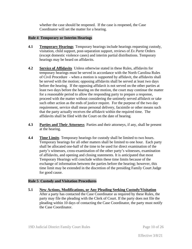whether the case should be reopened. If the case is reopened, the Case Coordinator will set the matter for a hearing.

#### **Rule 4 Temporary or Interim Hearings**

- **4.1 Temporary Hearings** Temporary hearings include hearings requesting custody, visitation, child support, post-separation support, reviews of *Ex Parte* Orders (except domestic violence cases) and interim partial distributions. Temporary hearings may be heard on affidavits.
- **4.2 Service of Affidavits** Unless otherwise stated in these Rules, affidavits for temporary hearings must be served in accordance with the North Carolina Rules of Civil Procedure - when a motion is supported by affidavit, the affidavits shall be served with the motion; opposing affidavits shall be served at least two days before the hearing. If the opposing affidavit is not served on the other parties at least two days before the hearing on the motion, the court may continue the matter for a reasonable period to allow the responding party to prepare a response, proceed with the matter without considering the untimely served affidavit or take such other action as the ends of justice require. For the purpose of the two day requirement, service shall mean personal delivery, facsimile or other means such that the party actually receives the affidavit within the required time. The affidavits shall be filed with the Court on the date of hearing.
- **4.3 Parties and Their Attorneys** Parties and their attorneys, if any, shall be present at the hearing.
- **4.4 Time Limits** Temporary hearings for custody shall be limited to two hours. Temporary hearings for all other matters shall be limited to one hour. Each party shall be allocated one-half of the time to be used for direct examination of the party's witnesses, cross-examination of the other party's witnesses, examination of affidavits, and opening and closing statements. It is anticipated that most Temporary Hearings will conclude within these time limits because of the exchange of information between the parties before the hearing; however, this time limit may be extended in the discretion of the presiding Family Court Judge for good cause.

#### **Rule 5 Custody and Visitation Procedures**

**5.1 New Actions, Modifications, or Any Pleading Seeking Custody/Visitation** After a party has contacted the Case Coordinator as required by these Rules, the party may file the pleading with the Clerk of Court. If the party does not file the pleading within 10 days of contacting the Case Coordinator, the party must notify the Case Coordinator.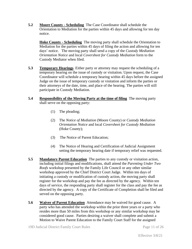**5.2 Moore County - Scheduling** The Case Coordinator shall schedule the Orientation to Mediation for the parties within 45 days and allowing for ten day notice.

**Hoke County - Scheduling** The moving party shall schedule the Orientation to Mediation for the parties within 45 days of filing the action and allowing for ten days' notice. The moving party shall send a copy of the *Custody Mediation Orientation Notice* and local *Coversheet for Custody Mediation* form to the Custody Mediator when filed.

**5.3 Temporary Hearings** Either party or attorney may request the scheduling of a temporary hearing on the issue of custody or visitation. Upon request, the Case Coordinator will schedule a temporary hearing within 45 days before the assigned Judge on the issue of temporary custody or visitation and inform the parties or their attorneys of the date, time, and place of the hearing. The parties will still participate in Custody Mediation.

#### **5.4 Responsibility of the Moving Party at the time of filing** The moving party shall serve on the opposing party:

- (1) The pleading;
- (2) The *Notice of Mediation* (Moore County) or *Custody Mediation Orientation Notice* and local *Coversheet for Custody Mediation* (Hoke County);
- (3) The Notice of Parent Education;
- (4) The Notice of Hearing and Certification of Judicial Assignment setting the temporary hearing date if temporary relief was requested.
- **5.5 Mandatory Parent Education** The parties to any custody or visitation action, including initial filings and modifications, shall attend the *Parenting Under Two Roofs* workshop presented by the Family Life Council or any other similar workshop approved by the Chief District Court Judge. Within ten days of initiating a custody or modification of custody action, the moving party shall register for the workshop and pay the fee as directed by the agency. Within ten days of service, the responding party shall register for the class and pay the fee as directed by the agency. A copy of the Certificate of Completion shall be filed and served on the opposing party.
- **5.6 Waiver of Parent Education** Attendance may be waived for good cause. A party who has attended the workshop within the prior three years or a party who resides more than 50 miles from this workshop or any similar workshop may be considered good cause. Parties desiring a waiver shall complete and submit a Motion to Waive Parent Education to the Family Court Staff for the assigned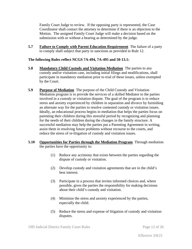Family Court Judge to review. If the opposing party is represented, the Case Coordinator shall contact the attorney to determine if there is an objection to the Motion. The assigned Family Court Judge will make a decision based on the submission with or without a hearing as determined by the judge.

**5.7 Failure to Comply with Parent Education Requirement** The failure of a party to comply shall subject that party to sanctions as provided in Rule 12.

#### **The following Rules reflect NCGS 7A-494, 7A-495 and 50-13.1:**

- **5.8 Mandatory Child Custody and Visitation Mediation** The parties to any custody and/or visitation case, including initial filings and modifications, shall participate in mandatory mediation prior to trial of these issues, unless exempted by the Court.
- **5.9 Purpose of Mediation** The purpose of the Child Custody and Visitation Mediation program is to provide the services of a skilled Mediator to the parties involved in a custody or visitation dispute. The goal of the program is to reduce stress and anxiety experienced by children in separation and divorce by furnishing an alternate way for the parties to resolve contested custody or visitation issues. Ideally, an educational process begins in mediation that helps the parties focus on parenting their children during this stressful period by recognizing and planning for the needs of their children during the changes in the family structure. A successful mediation may help the parties put a Parenting Agreement in writing, assist them in resolving future problems without recourse to the courts, and reduce the stress of re-litigation of custody and visitation issues.
- **5.10 Opportunities for Parties through the Mediation Program** Through mediation the parties have the opportunity to:
	- (1) Reduce any acrimony that exists between the parties regarding the dispute of custody or visitation.
	- (2) Develop custody and visitation agreements that are in the child's best interest.
	- (3) Participate in a process that invites informed choices and, where possible, gives the parties the responsibility for making decisions about their child's custody and visitation.
	- (4) Minimize the stress and anxiety experienced by the parties, especially the child.
	- (5) Reduce the stress and expense of litigation of custody and visitation disputes.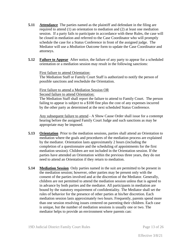- **5.11 Attendance** The parties named as the plaintiff and defendant in the filing are required to attend (1) an orientation to mediation and (2) at least one mediation session. If a party fails to participate in accordance with these Rules, the case will be closed in mediation and referred to the Case Coordinator who will promptly schedule the case for a Status Conference in front of the assigned judge. The Mediator will use a *Mediation Outcome* form to update the Case Coordinator and attorneys.
- **5.12 Failure to Appear** After notice, the failure of any party to appear for a scheduled orientation or a mediation session may result in the following sanctions:

#### First failure to attend Orientation:

The Mediation Staff or Family Court Staff is authorized to notify the person of possible sanctions and reschedule the Orientation.

#### First failure to attend a Mediation Session OR Second failure to attend Orientation:

The Mediation Staff shall report the failure to attend to Family Court. The person failing to appear is subject to a \$100 fine plus the cost of any expenses incurred by the other party as determined at the next scheduled Status Conference.

Any subsequent failure to attend - A Show Cause Order shall issue for a contempt hearing before the assigned Family Court Judge and such sanctions as may be appropriate may be imposed.

- **5.13 Orientation** Prior to the mediation sessions, parties shall attend an Orientation to mediation where the goals and procedures of the mediation process are explained by the mediator. Orientation lasts approximately 2 hours (including the completion of a questionnaire and the scheduling of appointments for the first mediation session). Children are not included in the Orientation session. If the parties have attended an Orientation within the previous three years, they do not need to attend an Orientation if they return to mediation.
- **5.14 Mediation Session** Only parties named in the suit are permitted to be present in the mediation session; however, other parties may be present only with the consent of the parties involved and at the discretion of the Mediator. Generally, children are not permitted to attend the mediation session unless that is agreed to in advance by both parties and the mediator. All participants in mediation are bound by the statutory requirement of confidentiality. The Mediator shall set the rules of behavior for the presence of other parties at his/her discretion. Each mediation session lasts approximately two hours. Frequently, parents spend more than one session resolving issues centered on parenting their children. Each case is unique, but the number of mediation sessions is usually one or two. The mediator helps to provide an environment where parents can: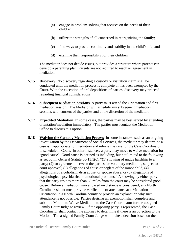- (a) engage in problem-solving that focuses on the needs of their children;
- (b) utilize the strengths of all concerned in reorganizing the family;
- (c) find ways to provide continuity and stability in the child's life; and
- (d) examine their responsibility for their children.

The mediator does not decide issues, but provides a structure where parents can develop a parenting plan. Parents are not required to reach an agreement in mediation.

- **5.15 Discovery** No discovery regarding a custody or visitation claim shall be conducted until the mediation process is complete or has been exempted by the Court. With the exception of oral depositions of parties, discovery may proceed regarding financial considerations.
- **5.16 Subsequent Mediation Sessions** A party must attend the Orientation and first mediation session. The Mediator will schedule any subsequent mediation sessions with consent of the parties and at the discretion of the mediator.
- **5.17 Expedited Mediation** In some cases, the parties may be best served by attending orientation/mediation immediately. The parties must contact the Mediation Office to discuss this option.
- **5.18 Waiving the Custody Mediation Process** In some instances, such as an ongoing investigation by the Department of Social Services, the mediator may determine a case is inappropriate for mediation and release the case for the Case Coordinator to schedule in Court. In other instances, a party may move to waive mediation for "good cause". Good cause is defined as including, but not limited to the following as set out in General Statute 50-13.1(c): "(1) showing of undue hardship to a party; (2) an agreement between the parties for voluntary mediation, subject to court approval; (3) allegations of abuse or neglect of the minor child, (4) allegations of alcoholism, drug abuse, or spouse abuse; or (5) allegations of psychological, psychiatric, or emotional problems." A showing by either party that the party resides more than 50 miles from the court may be considered good cause. Before a mediation waiver based on distance is considered, any North Carolina resident must provide verification of attendance at a Mediation Orientation in a North Carolina county or provide an explanation why such attendance is not possible. Parties desiring an exemption shall complete and submit a Motion to Waive Mediation to the Case Coordinator for the assigned Family Court Judge to review. If the opposing party is represented, the Case Coordinator shall contact the attorney to determine if there is an objection to the Motion. The assigned Family Court Judge will make a decision based on the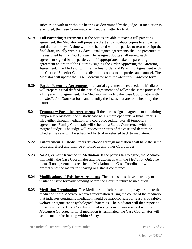submission with or without a hearing as determined by the judge. If mediation is exempted, the Case Coordinator will set the matter for trial.

- **5.19 Full Parenting Agreements** If the parties are able to reach a full parenting agreement, the Mediator will prepare a draft and distribute copies to all parties and their attorneys. A time will be scheduled with the parties to return to sign the final draft, usually within 14 days. Final signed agreements shall be presented to the assigned Family Court Judge. The assigned Judge shall review each agreement signed by the parties, and, if appropriate, make the parenting agreement an order of the Court by signing the Order Approving the Parenting Agreement. The Mediator will file the final order and Parenting Agreement with the Clerk of Superior Court, and distribute copies to the parties and counsel. The Mediator will update the Case Coordinator with the *Mediation Outcome* form.
- **5.20 Partial Parenting Agreements** If a partial agreement is reached, the Mediator will prepare a final draft of the partial agreement and follow the same process for a full parenting agreement. The Mediator will notify the Case Coordinator with the *Mediation Outcome* form and identify the issues that are to be heard by the Court.
- **5.21 Temporary Parenting Agreements** If the parties sign an agreement containing temporary provisions, the custody case will remain open until a final Order is filed either through mediation or a court proceeding. For all temporary agreements, Family Court staff will schedule a Status Conference with the assigned judge. The judge will review the status of the case and determine whether the case will be scheduled for trial or referred back to mediation.
- **5.22 Enforcement** Custody Orders developed through mediation shall have the same force and effect and shall be enforced as any other Court Order.
- **5.23 No Agreement Reached in Mediation** If the parties fail to agree, the Mediator will notify the Case Coordinator and the attorneys with the *Mediation Outcome* form. If no agreement is reached in Mediation, the Case Coordinator will promptly set the matter for hearing or a status conference.
- **5.24 Modifications of Existing Agreements** The parties must have a custody or visitation issue formally pending before the Court to return to mediation.
- **5.25 Mediation Termination** The Mediator, in his/her discretion, may terminate the mediation if the Mediator receives information during the course of the mediation that indicates continuing mediation would be inappropriate for reasons of safety, welfare or significant psychological dynamics. The Mediator will then report to the attorneys and Case Coordinator that no agreement was reached with the *Mediation Outcome* form. If mediation is terminated, the Case Coordinator will set the matter for hearing within 45 days.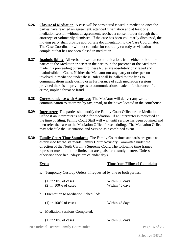- **5.26 Closure of Mediation** A case will be considered closed in mediation once the parties have reached an agreement, attended Orientation and at least one mediation session without an agreement, reached a consent order through their attorneys or voluntarily dismissed. If the case has been voluntarily dismissed, the moving party shall provide appropriate documentation to the Case Coordinator. The Case Coordinator will not calendar for court any custody or visitation complaint that has not been closed in mediation.
- **5.27 Inadmissibility** All verbal or written communications from either or both the parties to the Mediator or between the parties in the presence of the Mediator made in a proceeding pursuant to these Rules are absolutely privileged and inadmissible in Court. Neither the Mediator nor any party or other person involved in mediation under these Rules shall be called to testify as to communications made during or in furtherance of such mediation sessions, provided there is no privilege as to communications made in furtherance of a crime, implied threat or fraud.
- **5.28 Correspondence with Attorneys** The Mediator will deliver any written communication to attorneys by fax, email, or the boxes located in the courthouse.
- **5.29 Interpreter** The parties shall notify the Family Court Office or the Mediation Office if an interpreter is needed for mediation. If an interpreter is requested at the time of filing, Family Court Staff will wait until service has been obtained and then refer the case to the Mediation Office for scheduling. The Mediation Office may schedule the Orientation and Session as a combined event.
- **5.30 Family Court Time Standards** The Family Court time standards are goals as established by the statewide Family Court Advisory Committee under the direction of the North Carolina Supreme Court. The following time frames represent maximum time limits that are goals for custody matters. Unless otherwise specified, "days" are calendar days.

#### **Event Time from Filing of Complaint**

a. Temporary Custody Orders, if requested by one or both parties:

|             | $(1)$ in 90% of cases<br>$(2)$ in 100% of cases | Within 30 days<br>Within 45 days |
|-------------|-------------------------------------------------|----------------------------------|
| $h_{-}$     | Orientation to Mediation Scheduled:             |                                  |
|             | $(1)$ in 100% of cases                          | Within 45 days                   |
| $c_{\cdot}$ | <b>Mediation Sessions Completed:</b>            |                                  |
|             | $(1)$ in 90% of cases                           | Within 90 days                   |

19D Judicial District Family Court Rules Page 16 of 26

Effective 3/8/21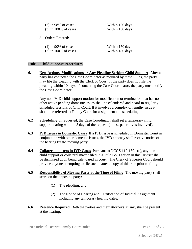| $(2)$ in 98% of cases<br>$(3)$ in 100% of cases | Within 120 days<br>Within 150 days |
|-------------------------------------------------|------------------------------------|
| d. Orders Entered:                              |                                    |
| $(1)$ in 90% of cases<br>$(2)$ in 100% of cases | Within 150 days<br>Within 180 days |

#### **Rule 6 Child Support Procedures**

**6.1 New Actions, Modifications or Any Pleading Seeking Child Support** After a party has contacted the Case Coordinator as required by these Rules, the party may file the pleading with the Clerk of Court. If the party does not file the pleading within 10 days of contacting the Case Coordinator, the party must notify the Case Coordinator.

Any non IV-D child support motion for modification or termination that has no other active pending domestic issues shall be calendared and heard in regularly scheduled sessions of Civil Court. If it involves a complex or lengthy issue it should be referred to Family Court for assignment and scheduling.

- **6.2 Scheduling** If requested, the Case Coordinator shall set a temporary child support hearing within 45 days of the request (unless paternity is involved).
- **6.3 IVD Issues in Domestic Cases** If a IVD issue is scheduled in Domestic Court in conjunction with other domestic issues, the IVD attorney shall receive notice of the hearing by the moving party.
- **6.4 Collateral matters in IVD Cases** Pursuant to NCGS 110-130.1(c), any nonchild support or collateral matter filed in a Title IV-D action in this District shall be dismissed upon being calendared in court. The Clerk of Superior Court should provide anyone attempting to file such matter a copy of this rule prior to filing.
- **6.5 Responsibility of Moving Party at the Time of Filing** The moving party shall serve on the opposing party:
	- (1) The pleading; and
	- (2) The Notice of Hearing and Certification of Judicial Assignment including any temporary hearing dates.
- **6.6 Presence Required** Both the parties and their attorneys, if any, shall be present at the hearing.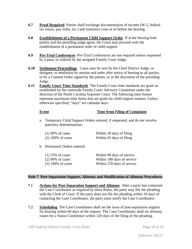- **6.7 Proof Required** Parties shall exchange documentation of income (W-2, federal tax return, pay stubs, etc.) and insurance costs at or before the hearing.
- **6.8 Establishment of a Permanent Child Support Order** If at the hearing both parties and the presiding judge agree, the Court may proceed with the establishment of a permanent order of child support.
- **6.9 Pre-Trial Conferences** Pre-Trial Conferences are not required unless requested by a party or ordered by the assigned Family Court Judge.
- **6.10 Settlement Proceedings** Cases may be sent by the Chief District Judge, or designee, to mediation by motion and order after notice of hearing to all parties, or by a Consent Order signed by the parties, or in the discretion of the presiding Judge.
- **6.11 Family Court Time Standards** The Family Court time standards are goals as established by the statewide Family Court Advisory Committee under the direction of the North Carolina Supreme Court. The following time frames represent maximum time limits that are goals for child support matters. Unless otherwise specified, "days" are calendar days.

#### **Event Time from Filing of Complaint**

a. Temporary Child Support Orders entered, if requested, and do not involve paternity determinations:

| $(1)$ 90% of cases  | Within 30 days of filing |
|---------------------|--------------------------|
| $(2)$ 100% of cases | Within 45 days of filing |

b. Permanent Orders entered:

| $(1)$ 75% of cases  | Within 90 days of service  |
|---------------------|----------------------------|
| $(2)$ 90% of cases  | Within 180 days of service |
| $(3)$ 100% of cases | Within 270 days of service |

#### **Rule 7 Post-Separation Support, Alimony and Modification of Alimony Procedures**

- **7.1 Actions for Post-Separation Support and Alimony** After a party has contacted the Case Coordinator as required by these Rules, the party may file the pleading with the Clerk of Court. If the party does not file the pleading within 10 days of contacting the Case Coordinator, the party must notify the Case Coordinator.
- **7.2 Scheduling** The Case Coordinator shall set the issue of post-separation support for hearing within 60 days of the request. The Case Coordinator shall set alimony issues for a Status Conference within 120 days of the filing of the pleading.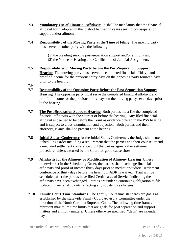- **7.3 Mandatory Use of Financial Affidavits** It shall be mandatory that the financial affidavit form adopted in this district be used in cases seeking post-separation support and/or alimony.
- **7.4 Responsibility of the Moving Party at the Time of Filing** The moving party must serve the other party with the following:
	- (1) the pleading seeking post-separation support and/or alimony and (2) the Notice of Hearing and Certification of Judicial Assignment.
- **7.5 Responsibilities of Moving Party before the Post-Separation Support Hearing** The moving party must serve the completed financial affidavit and proof of income for the previous thirty days on the opposing party fourteen days prior to the hearing.
- **7.6**
- **7.7 Responsibility of the Opposing Party Before the Post-Separation Support Hearing** The opposing party must serve the completed financial affidavit and proof of income for the previous thirty days on the moving party seven days prior to the hearing.
- **7.7 The Post-Separation Support Hearing** Both parties must file the completed financial affidavits with the court at or before the hearing. Any filed financial affidavit is deemed to be before the Court as evidence offered in the PSS hearing and is subject to cross-examination and objection. Both parties and their attorneys, if any, shall be present at the hearing.
- **7.8 Initial Status Conference** At the Initial Status Conference, the Judge shall enter a Scheduling Order including a requirement that the parties and their counsel attend a mediated settlement conference or, if the parties agree, other settlement procedure, unless excused by the Court for good cause shown.
- **7.9 Affidavits for the Alimony or Modification of Alimony Hearing** Unless otherwise set in the Scheduling Order, the parties shall exchange financial affidavits and proof of income thirty days prior to mediation/judicial settlement conference or thirty days before the hearing if ADR is waived. Trial will be scheduled after the parties have filed Certificates of Service indicating the affidavits have been exchanged. Parties are under a continuing obligation to file updated financial affidavits reflecting any substantive changes.
- **7.10 Family Court Time Standards** The Family Court time standards are goals as established by the statewide Family Court Advisory Committee under the direction of the North Carolina Supreme Court. The following time frames represent maximum time limits that are goals for post separation and support matters and alimony matters. Unless otherwise specified, "days" are calendar days.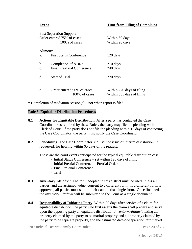#### **Event Time from Filing of Complaint**

|                            | <b>Post Separation Support</b>              |                                                        |  |
|----------------------------|---------------------------------------------|--------------------------------------------------------|--|
| Order entered 75% of cases |                                             | Within 60 days                                         |  |
|                            | 100\% of cases                              | Within 90 days                                         |  |
| Alimony                    |                                             |                                                        |  |
| a.                         | <b>First Status Conference</b>              | 120 days                                               |  |
| b.                         | Completion of ADR*                          | $210$ days                                             |  |
| $C_{\rm}$                  | Final Pre-Trial Conference                  | 240 days                                               |  |
| $d$ .                      | <b>Start of Trial</b>                       | 270 days                                               |  |
| e.                         | Order entered 90% of cases<br>100% of cases | Within 270 days of filing<br>Within 365 days of filing |  |

\* Completion of mediation session(s) – not when report is filed

#### **Rule 8 Equitable Distribution Procedures**

- **8.1 Actions for Equitable Distribution** After a party has contacted the Case Coordinator as required by these Rules, the party may file the pleading with the Clerk of Court. If the party does not file the pleading within 10 days of contacting the Case Coordinator, the party must notify the Case Coordinator.
- **8.2 Scheduling** The Case Coordinator shall set the issue of interim distribution, if requested, for hearing within 60 days of the request.

These are the court events anticipated for the typical equitable distribution case:

- Initial Status Conference set within 120 days of filing
	- Initial Pretrial Conference Pretrial Order due
	- Final Pre-trial Conference
	- Trial
- **8.3 Inventory Affidavit** The form adopted in this district must be used unless all parties, and the assigned judge, consent to a different form. If a different form is approved, all parties must submit their data on that single form. Once finalized, the *Inventory Affidavit* will be submitted to the Court as a single document.
- **8.4 Responsibility of Initiating Party** Within 90 days after service of a claim for equitable distribution, the party who first asserts the claim shall prepare and serve upon the opposing party an equitable distribution *Inventory Affidavit* listing all property claimed by the party to be marital property and all property claimed by the party to be separate property, and the estimated date-of-separation fair market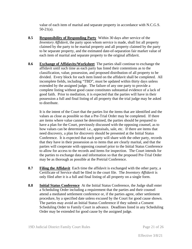value of each item of marital and separate property in accordance with N.C.G.S. 50-21(a).

- **8.5 Responsibility of Responding Party** Within 30 days after service of the *Inventory Affidavit*, the party upon whom service is made, shall list all property claimed by the party to be marital property and all property claimed by the party to be separate property, and the estimated date-of-separation fair market value of each item of marital and separate property to the original affidavit.
- **8.6 Exchange of Affidavits/Worksheet** The parties shall continue to exchange the affidavit until such time as each party has listed their contentions as to the classification, value, possession, and proposed distribution of all property to be divided. Every block for each item listed on the affidavit shall be completed. All incomplete fields, including "TBD", must be updated within thirty days unless extended by the assigned judge. The failure of any one party to provide a complete listing without good cause constitutes substantial evidence of a lack of good faith. Prior to mediation, it is expected that the parties will have in their possession a full and final listing of all property that the trial judge may be asked to distribute.

It is the intent of the Court that the parties list the items that are identified and the values as close as possible so that a Pre-Trial Order may be completed. If there are items where value cannot be determined, the parties should be prepared to have a plan for the Court, previously discussed with the opposing counsel, as to how values can be determined: i.e., appraisals, sale, etc. If there are items that need discovery, a plan for discovery should be presented at the Initial Status Conference. It is expected that each party will share with the other party, records that they have in their possession as to items that are clearly marital, and that the parties will cooperate with opposing counsel prior to the Initial Status Conference to allow for access to the records and items for inspection. The Court intends for the parties to exchange data and information so that the proposed Pre-Trial Order may be as thorough as possible at the Pretrial Conference.

- **8.7 Filing the Affidavit** Each time the affidavit is exchanged with the other party, a Certificate of Service shall be filed in the court file. The *Inventory Affidavit* is only filed after it is a full and final listing of all property on a single form.
- **8.8 Initial Status Conference** At the Initial Status Conference, the Judge shall enter a Scheduling Order including a requirement that the parties and their counsel attend a mediated settlement conference or, if the parties agree, other settlement procedure, by a specified date unless excused by the Court for good cause shown. The parties may avoid an Initial Status Conference if they submit a Consent Scheduling Order to Family Court in advance. Deadlines listed in any Scheduling Order may be extended for good cause by the assigned judge.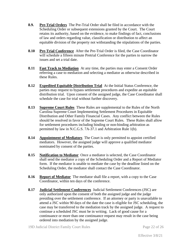- **8.9. Pre-Trial Orders** The Pre-Trial Order shall be filed in accordance with the Scheduling Order or subsequent extensions granted by the Court. The Court retains its authority, based on the evidence, to make findings of fact, conclusions of law and orders regarding value, classification or distribution to affect an equitable division of the property not withstanding the stipulations of the parties.
- **8.10 Pre-Trial Conference** After the Pre-Trial Order is filed, the Case Coordinator will schedule a fifteen minute Pretrial Conference for the parties to narrow the issues and set a trial date.
- **8.11 Fast Track to Mediation** At any time, the parties may enter a Consent Order referring a case to mediation and selecting a mediator as otherwise described in these Rules.
- **8.12 Expedited Equitable Distribution Trial** At the Initial Status Conference, the parties may request to bypass settlement procedures and expedite an equitable distribution trial. Upon consent of the assigned judge, the Case Coordinator shall schedule the case for trial without further discovery.
- **8.13 Supreme Court Rules** These Rules are supplemental to the Rules of the North Carolina Supreme Court Implementing Settlement Procedures in Equitable Distribution and Other Family Financial Cases. Any conflict between the Rules should be resolved in favor of the Supreme Court Rules. These Rules shall allow for settlement procedures including binding or non-binding arbitration as permitted by law in N.C.G.S. 7A-37.1 and Arbitration Rule 1(b).
- **8.14 Appointment of Mediators** The Court is only permitted to appoint certified mediators. However, the assigned judge will approve a qualified mediator nominated by consent of the parties.
- **8.15 Notification to Mediator** Once a mediator is selected, the Case Coordinator shall send the mediator a copy of the Scheduling Order and a Report of Mediator form. If the mediator is unable to mediate the case by the deadline listed on the Scheduling Order, the mediator shall contact the Case Coordinator.
- **8.16 Report of Mediator** The mediator shall file a report, with a copy to the Case Coordinator, within ten days of the conference.
- **8.17 Judicial Settlement Conferences** Judicial Settlement Conferences (JSC) are only authorized upon the consent of both the assigned judge and the judge presiding over the settlement conference. If an attorney or party is unavailable to attend a JSC within 90 days of the date the case is eligible for JSC scheduling, the case may be transferred to the mediation track by the assigned judge. A request to continue a scheduled JSC must be in writing. Lack of good cause for a continuance or more than one continuance request may result in the case being ordered into mediation by the assigned judge.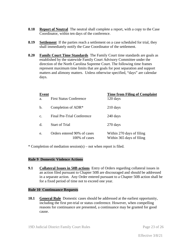- **8.18 Report of Neutral** The neutral shall complete a report, with a copy to the Case Coordinator, within ten days of the conference.
- **8.19 Settlement** If the parties reach a settlement on a case scheduled for trial, they shall immediately notify the Case Coordinator of the settlement.
- **8.20 Family Court Time Standards** The Family Court time standards are goals as established by the statewide Family Court Advisory Committee under the direction of the North Carolina Supreme Court. The following time frames represent maximum time limits that are goals for post separation and support matters and alimony matters. Unless otherwise specified, "days" are calendar days.

| Event<br>a. | <b>First Status Conference</b>                | <b>Time from Filing of Complaint</b><br>120 days       |
|-------------|-----------------------------------------------|--------------------------------------------------------|
| b.          | Completion of ADR*                            | $210 \text{ days}$                                     |
| C.          | <b>Final Pre-Trial Conference</b>             | 240 days                                               |
| d.          | Start of Trial                                | 270 days                                               |
| e.          | Orders entered 90% of cases<br>100\% of cases | Within 270 days of filing<br>Within 365 days of filing |

\* Completion of mediation session(s) – not when report is filed.

#### **Rule 9 Domestic Violence Actions**

**9.1 Collateral Issues in 50B actions** Entry of Orders regarding collateral issues in an action filed pursuant to Chapter 50B are discouraged and should be addressed in a separate action. Any Order entered pursuant to a Chapter 50B action shall be for a fixed period of time not to exceed one year.

#### **Rule 10 Continuance Requests**

**10.1 General Rule** Domestic cases should be addressed at the earliest opportunity, including the first pre-trial or status conference. However, when compelling reasons for continuance are presented, a continuance may be granted for good cause.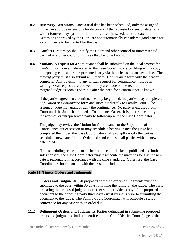- **10.2 Discovery Extensions** Once a trial date has been scheduled, only the assigned judge can approve extensions for discovery if the requested extension date falls within fourteen days prior to trial or falls after the scheduled trial date. Extensions approved by the Clerk are not automatically considered good cause for a continuance to be granted for the trial.
- **10.3 Conflicts** Attorneys shall notify the Court and other counsel or unrepresented party of any other court conflicts as they become known.
- **10.4 Motions** A request for a continuance shall be submitted on the local *Motion for Continuance* form and delivered to the Case Coordinator after filing with a copy to opposing counsel or unrepresented party via the quickest means available. The moving party must also submit an *Order for Continuance* form with the header complete. Any objection to any written request for continuance must be in writing. Oral requests are allowed if they are made on the record in front of the assigned judge as soon as possible after the need for a continuance is known.

If the parties agree that a continuance may be granted, the parties may complete a *Stipulation of Continuance* form and submit it directly to Family Court. The assigned judge may grant or deny the continuance. No party is excused from Court until the Judge has signed a Continuance Order. It is the responsibility of the attorney or unrepresented party to follow-up with the Case Coordinator.

The judge may review the Motion for Continuance or the Stipulation of Continuance out of session or may schedule a hearing. Once the judge has completed the Order, the Case Coordinator shall promptly notify the parties, schedule a new date, file the Order and send copies to all parties with the new date noted

If a rescheduling request is made before the court docket is published and both sides consent, the Case Coordinator may reschedule the matter as long as the new date is reasonably in accordance with the time standards. Otherwise, the Case Coordinator should consult with the presiding Judge.

#### **Rule 11 Timely Orders and Judgments**

- **11.1 Orders and Judgments** All proposed domestic orders or judgments must be submitted to the court within 30 days following the ruling by the judge. The party preparing the proposed judgment or order shall provide a copy of the proposed document to the opposing party three days (six if by mail) prior to submitting the document to the judge. The Family Court Coordinator will schedule a status conference for any case with an order due.
- **11.2 Delinquent Orders and Judgments** Parties delinquent in submitting proposed orders and judgments shall be identified to the Chief District Court Judge or the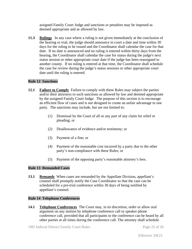assigned Family Court Judge and sanctions or penalties may be imposed as deemed appropriate and as allowed by law.

**11.3 Rulings** In any case where a ruling is not given immediately at the conclusion of the hearing or trial, the judge should announce in court a date and time within 30 days for the ruling to be issued and the Coordinator shall calendar the case for that date. If no date is announced and no ruling is entered within thirty days from the hearing, the Coordinator shall calendar the case for status during the judge's next status session or other appropriate court date if the judge has been reassigned to another county. If no ruling is entered at that time, the Coordinator shall schedule the case for review during the judge's status sessions or other appropriate court date until the ruling is entered.

### **Rule 12 Sanctions**

- **12.1 Failure to Comply** Failure to comply with these Rules may subject the parties and/or their attorneys to such sanctions as allowed by law and deemed appropriate by the assigned Family Court Judge. The purpose of this section is to encourage an efficient flow of cases and is not designed to create an unfair advantage to one party. The sanctions may include, but are not limited to:
	- (1) Dismissal by the Court of all or any part of any claim for relief or pleading; or
	- (2) Disallowance of evidence and/or testimony; or
	- (3) Payment of a fine; or
	- (4) Payment of the reasonable cost incurred by a party due to the other party's non-compliance with these Rules; or
	- (5) Payment of the opposing party's reasonable attorney's fees.

#### **Rule 13 Remanded Cases**

**13.1 Remands** When cases are remanded by the Appellate Division, appellant's counsel shall promptly notify the Case Coordinator so that the case can be scheduled for a pre-trial conference within 30 days of being notified by appellant's counsel.

#### **Rule 14 Telephone Conferences**

**14.1 Telephone Conferences** The Court may, in its discretion, order or allow oral argument on any motion by telephone conference call or speaker phone conference call, provided that all participants to the conference can be heard by all other parties at all times during the conference call. The attorney shall schedule